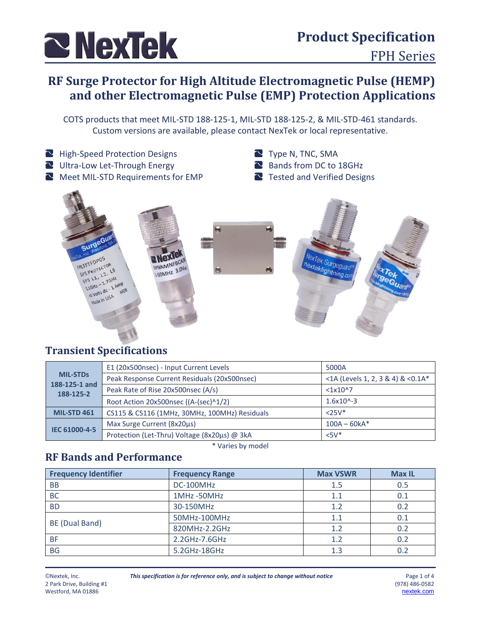

# **RF Surge Protector for High Altitude Electromagnetic Pulse (HEMP) and other Electromagnetic Pulse (EMP) Protection Applications**

COTS products that meet MIL-STD 188-125-1, MIL-STD 188-125-2, & MIL-STD-461 standards. Custom versions are available, please contact NexTek or local representative.

- High-Speed Protection Designs
- Ultra-Low Let-Through Energy
- Meet MIL-STD Requirements for EMP
- Type N, TNC, SMA
- Bands from DC to 18GHz
- Tested and Verified Designs



#### **Transient Specifications**

| <b>MIL-STDs</b><br>188-125-1 and<br>188-125-2 | E1 (20x500nsec) - Input Current Levels        | 5000A                             |  |
|-----------------------------------------------|-----------------------------------------------|-----------------------------------|--|
|                                               | Peak Response Current Residuals (20x500nsec)  | <1A (Levels 1, 2, 3 & 4) & <0.1A* |  |
|                                               | Peak Rate of Rise 20x500nsec (A/s)            | <1x10 <sup>0</sup>                |  |
|                                               | Root Action 20x500nsec ((A-(sec)^1/2)         | $1.6x10^{(-)}$                    |  |
| <b>MIL-STD 461</b>                            | CS115 & CS116 (1MHz, 30MHz, 100MHz) Residuals | $<25V*$                           |  |
| IEC 61000-4-5                                 | Max Surge Current (8x20µs)                    | $100A - 60kA*$                    |  |
|                                               | Protection (Let-Thru) Voltage (8x20µs) @ 3kA  | $<5V^*$                           |  |

\* Varies by model

#### **RF Bands and Performance**

| <b>Frequency Identifier</b> | <b>Frequency Range</b> | <b>Max VSWR</b> | <b>Max IL</b> |
|-----------------------------|------------------------|-----------------|---------------|
| <b>BB</b>                   | DC-100MHz<br>1.5       |                 | 0.5           |
| <b>BC</b>                   | 1MHz-50MHz             | 1.1             | 0.1           |
| <b>BD</b>                   | 30-150MHz              | 1.2             | 0.2           |
|                             | 50MHz-100MHz           | 1.1             | 0.1           |
| BE (Dual Band)              | 820MHz-2.2GHz          | 1.2             | 0.2           |
| <b>BF</b>                   | 2.2GHz-7.6GHz          | 1.2             | 0.2           |
| <b>BG</b>                   | 5.2GHz-18GHz           | 1.3             | 0.2           |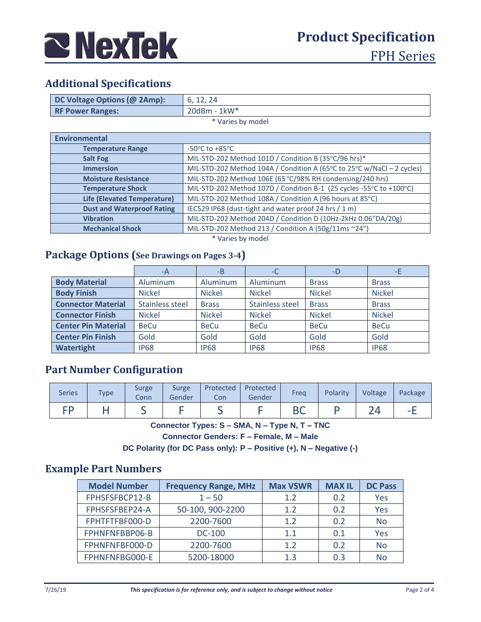

## **Additional Specifications**

| DC Voltage Options (@ 2Amp):       | 6, 12, 24                                                              |  |  |  |  |
|------------------------------------|------------------------------------------------------------------------|--|--|--|--|
| <b>RF Power Ranges:</b>            | 20dBm - 1kW*                                                           |  |  |  |  |
| * Varies by model                  |                                                                        |  |  |  |  |
| <b>Environmental</b>               |                                                                        |  |  |  |  |
| <b>Temperature Range</b>           | $-50^{\circ}$ C to $+85^{\circ}$ C                                     |  |  |  |  |
| <b>Salt Fog</b>                    | MIL-STD-202 Method 101D / Condition B (35°C/96 hrs)*                   |  |  |  |  |
| <b>Immersion</b>                   | MIL-STD-202 Method 104A / Condition A (65°C to 25°C w/NaCl - 2 cycles) |  |  |  |  |
| <b>Moisture Resistance</b>         | MIL-STD-202 Method 106E (65 °C/98% RH condensing/240 hrs)              |  |  |  |  |
| <b>Temperature Shock</b>           | MIL-STD-202 Method 107D / Condition B-1 (25 cycles -55°C to +100°C)    |  |  |  |  |
| <b>Life (Elevated Temperature)</b> | MIL-STD-202 Method 108A / Condition A (96 hours at 85°C)               |  |  |  |  |
| <b>Dust and Waterproof Rating</b>  | IEC529 IP68 (dust-tight and water proof 24 hrs / 1 m)                  |  |  |  |  |

\* Varies by model

**Mechanical Shock** MIL-STD-202 Method 213 / Condition A (50g/11ms ~24")

**Vibration** MIL-STD-202 Method 204D / Condition D (10Hz-2kHz 0.06"DA/20g)

#### **Package Options (See Drawings on Pages 3-4)**

|                            | -A              | $-B$          | -C              | -D            | -E            |
|----------------------------|-----------------|---------------|-----------------|---------------|---------------|
| <b>Body Material</b>       | Aluminum        | Aluminum      | Aluminum        | <b>Brass</b>  | <b>Brass</b>  |
| <b>Body Finish</b>         | <b>Nickel</b>   | <b>Nickel</b> | <b>Nickel</b>   | <b>Nickel</b> | <b>Nickel</b> |
| <b>Connector Material</b>  | Stainless steel | <b>Brass</b>  | Stainless steel | <b>Brass</b>  | <b>Brass</b>  |
| <b>Connector Finish</b>    | <b>Nickel</b>   | <b>Nickel</b> | <b>Nickel</b>   | <b>Nickel</b> | <b>Nickel</b> |
| <b>Center Pin Material</b> | <b>BeCu</b>     | <b>BeCu</b>   | <b>BeCu</b>     | <b>BeCu</b>   | <b>BeCu</b>   |
| <b>Center Pin Finish</b>   | Gold            | Gold          | Gold            | Gold          | Gold          |
| Watertight                 | <b>IP68</b>     | <b>IP68</b>   | <b>IP68</b>     | <b>IP68</b>   | <b>IP68</b>   |

#### **Part Number Configuration**

| <b>Series</b> | Type | <b>Surge</b><br>Conn | Surge<br>Gender | Protected<br>Con | Protected<br>Gender | Freg     | Polarity | Voltage | Package |
|---------------|------|----------------------|-----------------|------------------|---------------------|----------|----------|---------|---------|
| гn            |      | ⋍                    |                 | =                |                     | n c<br>◡ |          |         | -       |

**Connector Types: S – SMA, N – Type N, T – TNC**

**Connector Genders: F – Female, M – Male**

**DC Polarity (for DC Pass only): P – Positive (+), N – Negative (-)**

#### **Example Part Numbers**

| <b>Model Number</b> | <b>Frequency Range, MHz</b> | <b>Max VSWR</b> | <b>MAX IL</b> | <b>DC Pass</b> |
|---------------------|-----------------------------|-----------------|---------------|----------------|
| FPHSFSFBCP12-B      | $1 - 50$                    | 1.2             | 0.2           | Yes            |
| FPHSFSFBEP24-A      | 50-100, 900-2200            | 1.2             | 0.2           | Yes            |
| FPHTFTFBF000-D      | 2200-7600                   | 1.2             | 0.2           | <b>No</b>      |
| FPHNFNFBBP06-B      | <b>DC-100</b>               | 1.1             | 0.1           | Yes            |
| FPHNFNFBF000-D      | 2200-7600                   | 1.2             | 0.2           | <b>No</b>      |
| FPHNFNFBG000-E      | 5200-18000                  | 1.3             | 0.3           | No             |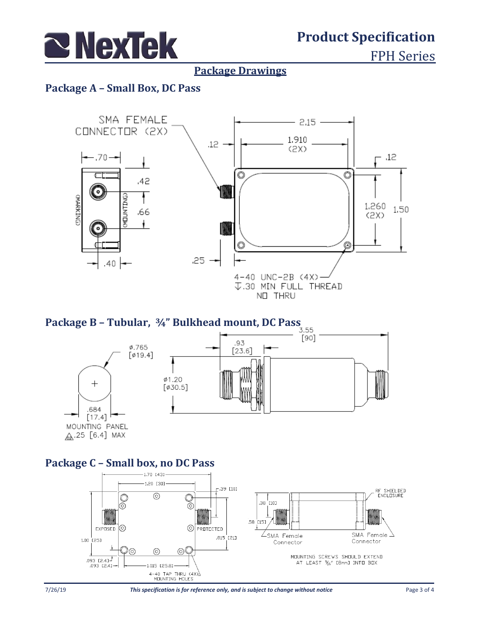

# **Product Specification**

FPH Series

#### **Package Drawings**

#### **Package A – Small Box, DC Pass**



# **Package B – Tubular, ¾" Bulkhead mount, DC Pass**



MOUNTING PANEL <u>ሌ</u>.25 [6.4] MAX

### **Package C – Small box, no DC Pass**